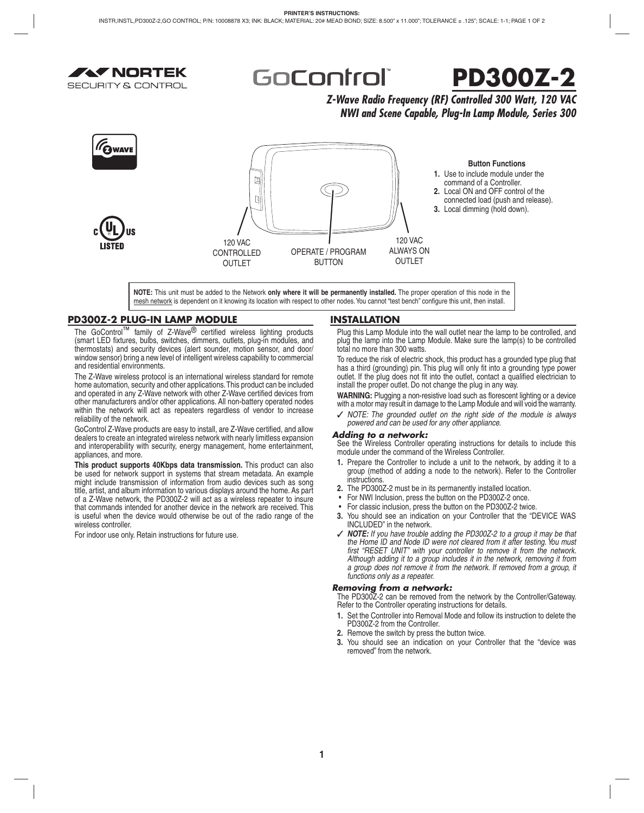

GoControl®



*Z-Wave Radio Frequency (RF) Controlled 300 Watt, 120 VAC NWI and Scene Capable, Plug-In Lamp Module, Series 300*



**NOTE:** This unit must be added to the Network **only where it will be permanently installed.** The proper operation of this node in the mesh network is dependent on it knowing its location with respect to other nodes. You cannot "test bench" configure this unit, then install.

# **PD300Z-2 PLUG-IN LAMP MODULE**

The GoControl™ family of Z-Wave<sup>®</sup> certified wireless lighting products (smart LED fixtures, bulbs, switches, dimmers, outlets, plug-in modules, and thermostats) and security devices (alert sounder, motion sensor, and door/ window sensor) bring a new level of intelligent wireless capability to commercial and residential environments.

The Z-Wave wireless protocol is an international wireless standard for remote home automation, security and other applications. This product can be included and operated in any Z-Wave network with other Z-Wave certified devices from other manufacturers and/or other applications. All non-battery operated nodes within the network will act as repeaters regardless of vendor to increase reliability of the network.

GoControl Z-Wave products are easy to install, are Z-Wave certified, and allow dealers to create an integrated wireless network with nearly limitless expansion and interoperability with security, energy management, home entertainment, appliances, and more.

**This product supports 40Kbps data transmission.** This product can also be used for network support in systems that stream metadata. An example might include transmission of information from audio devices such as song title, artist, and album information to various displays around the home. As part of a Z-Wave network, the PD300Z-2 will act as a wireless repeater to insure that commands intended for another device in the network are received. This is useful when the device would otherwise be out of the radio range of the wireless controller.

For indoor use only. Retain instructions for future use.

## **INSTALLATION**

Plug this Lamp Module into the wall outlet near the lamp to be controlled, and plug the lamp into the Lamp Module. Make sure the lamp(s) to be controlled total no more than 300 watts.

To reduce the risk of electric shock, this product has a grounded type plug that has a third (grounding) pin. This plug will only fit into a grounding type power outlet. If the plug does not fit into the outlet, contact a qualified electrician to install the proper outlet. Do not change the plug in any way.

WARNING: Plugging a non-resistive load such as florescent lighting or a device with a motor may result in damage to the Lamp Module and will void the warranty.

✓ *NOTE: The grounded outlet on the right side of the module is always powered and can be used for any other appliance.*

### *Adding to a network:*

See the Wireless Controller operating instructions for details to include this module under the command of the Wireless Controller.

- **1.** Prepare the Controller to include a unit to the network, by adding it to a group (method of adding a node to the network). Refer to the Controller instructions.
- **2.** The PD300Z-2 must be in its permanently installed location.
- For NWI Inclusion, press the button on the PD300Z-2 once.
- For classic inclusion, press the button on the PD300Z-2 twice.
- **3.** You should see an indication on your Controller that the "DEVICE WAS INCLUDED" in the network.
- ✓ *NOTE: If you have trouble adding the PD300Z-2 to a group it may be that the Home ID and Node ID were not cleared from it after testing. You must*  first "RESET UNIT" with your controller to remove it from the network. *Although adding it to a group includes it in the network, removing it from*  a group does not remove it from the network. If removed from a group, it *functions only as a repeater.*

### *Removing from a network:*

The PD300Z-2 can be removed from the network by the Controller/Gateway. Refer to the Controller operating instructions for details.

- **1.** Set the Controller into Removal Mode and follow its instruction to delete the PD300Z-2 from the Controller.
- **2.** Remove the switch by press the button twice.
- **3.** You should see an indication on your Controller that the "device was removed" from the network.